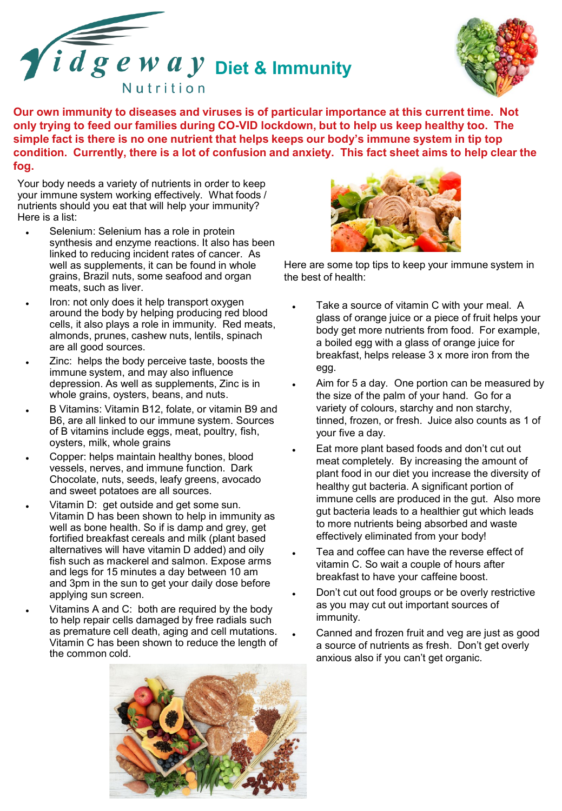



**Our own immunity to diseases and viruses is of particular importance at this current time. Not only trying to feed our families during CO-VID lockdown, but to help us keep healthy too. The simple fact is there is no one nutrient that helps keeps our body's immune system in tip top condition. Currently, there is a lot of confusion and anxiety. This fact sheet aims to help clear the fog.**

Your body needs a variety of nutrients in order to keep your immune system working effectively. What foods / nutrients should you eat that will help your immunity? Here is a list:

- ⚫ Selenium: Selenium has a role in protein synthesis and enzyme reactions. It also has been linked to reducing incident rates of cancer. As well as supplements, it can be found in whole grains, Brazil nuts, some seafood and organ meats, such as liver.
- ⚫ Iron: not only does it help transport oxygen around the body by helping producing red blood cells, it also plays a role in immunity. Red meats, almonds, prunes, cashew nuts, lentils, spinach are all good sources.
- ⚫ Zinc: helps the body perceive taste, boosts the immune system, and may also influence depression. As well as supplements, Zinc is in whole grains, oysters, beans, and nuts.
- B Vitamins: Vitamin B12, folate, or vitamin B9 and B6, are all linked to our immune system. Sources of B vitamins include eggs, meat, poultry, fish, oysters, milk, whole grains
- ⚫ Copper: helps maintain healthy bones, blood vessels, nerves, and immune function. Dark Chocolate, nuts, seeds, leafy greens, avocado and sweet potatoes are all sources.
- Vitamin D: get outside and get some sun. Vitamin D has been shown to help in immunity as well as bone health. So if is damp and grey, get fortified breakfast cereals and milk (plant based alternatives will have vitamin D added) and oily fish such as mackerel and salmon. Expose arms and legs for 15 minutes a day between 10 am and 3pm in the sun to get your daily dose before applying sun screen.
- Vitamins A and C: both are required by the body to help repair cells damaged by free radials such as premature cell death, aging and cell mutations. Vitamin C has been shown to reduce the length of the common cold.





Here are some top tips to keep your immune system in the best of health:

- ⚫ Take a source of vitamin C with your meal. A glass of orange juice or a piece of fruit helps your body get more nutrients from food. For example, a boiled egg with a glass of orange juice for breakfast, helps release 3 x more iron from the egg.
- Aim for 5 a day. One portion can be measured by the size of the palm of your hand. Go for a variety of colours, starchy and non starchy, tinned, frozen, or fresh. Juice also counts as 1 of your five a day.
- ⚫ Eat more plant based foods and don't cut out meat completely. By increasing the amount of plant food in our diet you increase the diversity of healthy gut bacteria. A significant portion of immune cells are produced in the gut. Also more gut bacteria leads to a healthier gut which leads to more nutrients being absorbed and waste effectively eliminated from your body!
- ⚫ Tea and coffee can have the reverse effect of vitamin C. So wait a couple of hours after breakfast to have your caffeine boost.
- ⚫ Don't cut out food groups or be overly restrictive as you may cut out important sources of immunity.
- ⚫ Canned and frozen fruit and veg are just as good a source of nutrients as fresh. Don't get overly anxious also if you can't get organic.